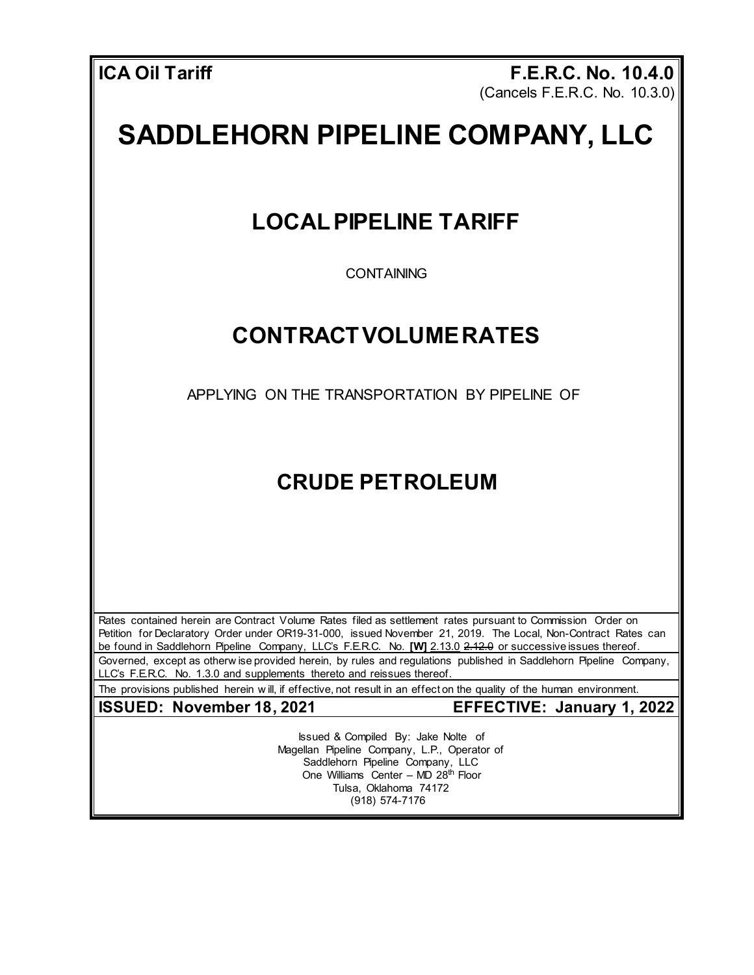**ICA Oil Tariff F.E.R.C. No. 10.4.0** (Cancels F.E.R.C. No. 10.3.0)

## **SADDLEHORN PIPELINE COMPANY, LLC**

## **LOCALPIPELINE TARIFF**

**CONTAINING** 

## **CONTRACTVOLUMERATES**

APPLYING ON THE TRANSPORTATION BY PIPELINE OF

## **CRUDE PETROLEUM**

Rates contained herein are Contract Volume Rates filed as settlement rates pursuant to Commission Order on Petition for Declaratory Order under OR19-31-000, issued November 21, 2019. The Local, Non-Contract Rates can be found in Saddlehorn Pipeline Company, LLC's F.E.R.C. No. **[W]** 2.13.0 2.12.0 or successive issues thereof. Governed, except as otherw ise provided herein, by rules and regulations published in Saddlehorn Pipeline Company, LLC's F.E.R.C. No. 1.3.0 and supplements thereto and reissues thereof.

The provisions published herein w ill, if effective, not result in an effect on the quality of the human environment.

**ISSUED: November 18, 2021 EFFECTIVE: January 1, 2022**

Issued & Compiled By: Jake Nolte of Magellan Pipeline Company, L.P., Operator of Saddlehorn Pipeline Company, LLC One Williams Center – MD 28<sup>th</sup> Floor Tulsa, Oklahoma 74172 (918) 574-7176